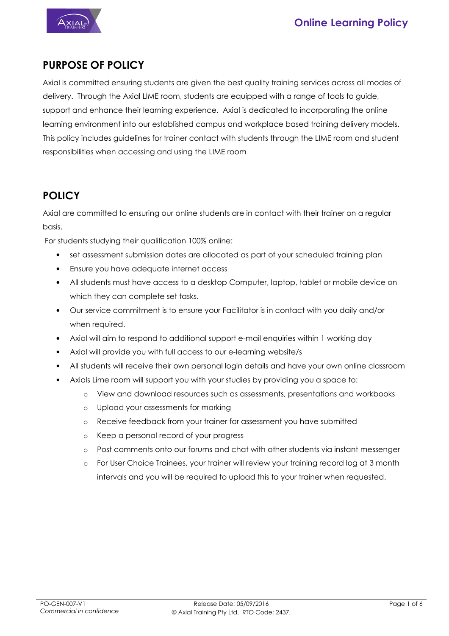



## **PURPOSE OF POLICY**

Axial is committed ensuring students are given the best quality training services across all modes of delivery. Through the Axial LIME room, students are equipped with a range of tools to guide, support and enhance their learning experience. Axial is dedicated to incorporating the online learning environment into our established campus and workplace based training delivery models. This policy includes guidelines for trainer contact with students through the LIME room and student responsibilities when accessing and using the LIME room

### **POLICY**

Axial are committed to ensuring our online students are in contact with their trainer on a regular basis.

For students studying their qualification 100% online:

- set assessment submission dates are allocated as part of your scheduled training plan
- Ensure you have adequate internet access
- All students must have access to a desktop Computer, laptop, tablet or mobile device on which they can complete set tasks.
- Our service commitment is to ensure your Facilitator is in contact with you daily and/or when required.
- Axial will aim to respond to additional support e-mail enquiries within 1 working day
- Axial will provide you with full access to our e-learning website/s
- All students will receive their own personal login details and have your own online classroom
- Axials Lime room will support you with your studies by providing you a space to:
	- o View and download resources such as assessments, presentations and workbooks
	- o Upload your assessments for marking
	- o Receive feedback from your trainer for assessment you have submitted
	- o Keep a personal record of your progress
	- o Post comments onto our forums and chat with other students via instant messenger
	- For User Choice Trainees, your trainer will review your training record log at 3 month intervals and you will be required to upload this to your trainer when requested.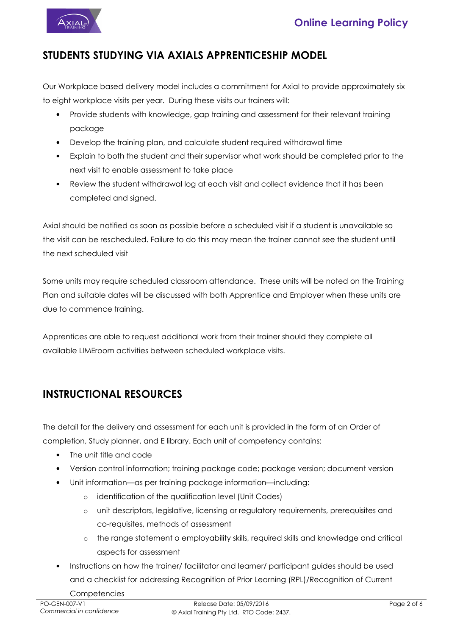

### **STUDENTS STUDYING VIA AXIALS APPRENTICESHIP MODEL**

Our Workplace based delivery model includes a commitment for Axial to provide approximately six to eight workplace visits per year. During these visits our trainers will:

- Provide students with knowledge, gap training and assessment for their relevant training package
- Develop the training plan, and calculate student required withdrawal time
- Explain to both the student and their supervisor what work should be completed prior to the next visit to enable assessment to take place
- Review the student withdrawal log at each visit and collect evidence that it has been completed and signed.

Axial should be notified as soon as possible before a scheduled visit if a student is unavailable so the visit can be rescheduled. Failure to do this may mean the trainer cannot see the student until the next scheduled visit

Some units may require scheduled classroom attendance. These units will be noted on the Training Plan and suitable dates will be discussed with both Apprentice and Employer when these units are due to commence training.

Apprentices are able to request additional work from their trainer should they complete all available LIMEroom activities between scheduled workplace visits.

## **INSTRUCTIONAL RESOURCES**

The detail for the delivery and assessment for each unit is provided in the form of an Order of completion, Study planner, and E library. Each unit of competency contains:

- The unit title and code
- Version control information; training package code; package version; document version
- Unit information—as per training package information—including:
	- o identification of the qualification level (Unit Codes)
	- o unit descriptors, legislative, licensing or regulatory requirements, prerequisites and co-requisites, methods of assessment
	- o the range statement o employability skills, required skills and knowledge and critical aspects for assessment
- Instructions on how the trainer/ facilitator and learner/ participant guides should be used and a checklist for addressing Recognition of Prior Learning (RPL)/Recognition of Current **Competencies**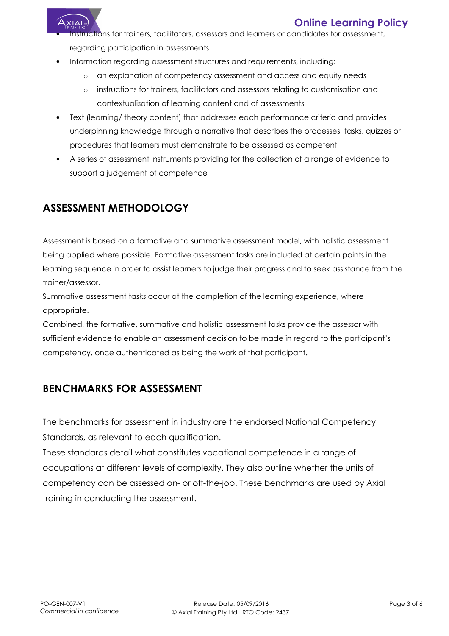

### **Online Learning Policy**

- structions for trainers, facilitators, assessors and learners or candidates for assessment, regarding participation in assessments
- Information regarding assessment structures and requirements, including:
	- o an explanation of competency assessment and access and equity needs
	- o instructions for trainers, facilitators and assessors relating to customisation and contextualisation of learning content and of assessments
- Text (learning/ theory content) that addresses each performance criteria and provides underpinning knowledge through a narrative that describes the processes, tasks, quizzes or procedures that learners must demonstrate to be assessed as competent
- A series of assessment instruments providing for the collection of a range of evidence to support a judgement of competence

# **ASSESSMENT METHODOLOGY**

Assessment is based on a formative and summative assessment model, with holistic assessment being applied where possible. Formative assessment tasks are included at certain points in the learning sequence in order to assist learners to judge their progress and to seek assistance from the trainer/assessor.

Summative assessment tasks occur at the completion of the learning experience, where appropriate.

Combined, the formative, summative and holistic assessment tasks provide the assessor with sufficient evidence to enable an assessment decision to be made in regard to the participant's competency, once authenticated as being the work of that participant.

## **BENCHMARKS FOR ASSESSMENT**

The benchmarks for assessment in industry are the endorsed National Competency Standards, as relevant to each qualification.

These standards detail what constitutes vocational competence in a range of occupations at different levels of complexity. They also outline whether the units of competency can be assessed on- or off-the-job. These benchmarks are used by Axial training in conducting the assessment.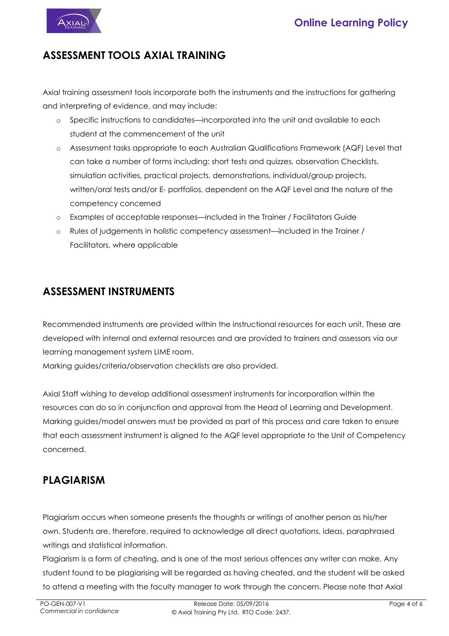



#### **ASSESSMENT TOOLS AXIAL TRAINING**

Axial training assessment tools incorporate both the instruments and the instructions for gathering and interpreting of evidence, and may include:

- o Specific instructions to candidates—incorporated into the unit and available to each student at the commencement of the unit
- o Assessment tasks appropriate to each Australian Qualifications Framework (AQF) Level that can take a number of forms including: short tests and quizzes, observation Checklists, simulation activities, practical projects, demonstrations, individual/group projects, written/oral tests and/or E- portfolios, dependent on the AQF Level and the nature of the competency concerned
- o Examples of acceptable responses—included in the Trainer / Facilitators Guide
- o Rules of judgements in holistic competency assessment—included in the Trainer / Facilitators, where applicable

### **ASSESSMENT INSTRUMENTS**

Recommended instruments are provided within the instructional resources for each unit. These are developed with internal and external resources and are provided to trainers and assessors via our learning management system LIME room.

Marking guides/criteria/observation checklists are also provided.

Axial Staff wishing to develop additional assessment instruments for incorporation within the resources can do so in conjunction and approval from the Head of Learning and Development. Marking guides/model answers must be provided as part of this process and care taken to ensure that each assessment instrument is aligned to the AQF level appropriate to the Unit of Competency concerned.

## **PLAGIARISM**

Plagiarism occurs when someone presents the thoughts or writings of another person as his/her own. Students are, therefore, required to acknowledge all direct quotations, ideas, paraphrased writings and statistical information.

Plagiarism is a form of cheating, and is one of the most serious offences any writer can make. Any student found to be plagiarising will be regarded as having cheated, and the student will be asked to attend a meeting with the faculty manager to work through the concern. Please note that Axial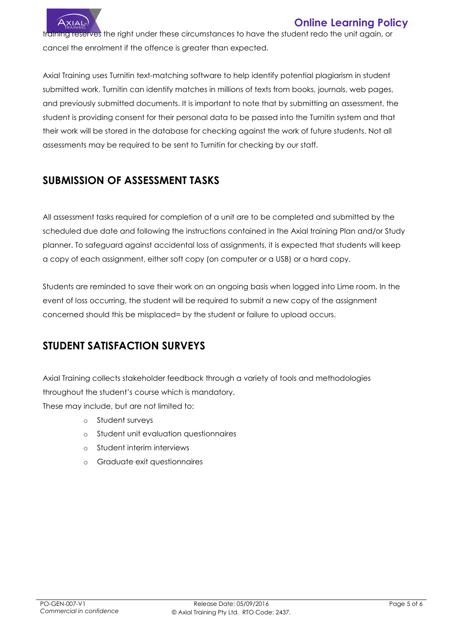

### **Online Learning Policy**

training reserves the right under these circumstances to have the student redo the unit again, or cancel the enrolment if the offence is greater than expected.

Axial Training uses Turnitin text-matching software to help identify potential plagiarism in student submitted work. Turnitin can identify matches in millions of texts from books, journals, web pages, and previously submitted documents. It is important to note that by submitting an assessment, the student is providing consent for their personal data to be passed into the Turnitin system and that their work will be stored in the database for checking against the work of future students. Not all assessments may be required to be sent to Turnitin for checking by our staff.

## **SUBMISSION OF ASSESSMENT TASKS**

All assessment tasks required for completion of a unit are to be completed and submitted by the scheduled due date and following the instructions contained in the Axial training Plan and/or Study planner. To safeguard against accidental loss of assignments, it is expected that students will keep a copy of each assignment, either soft copy (on computer or a USB) or a hard copy.

Students are reminded to save their work on an ongoing basis when logged into Lime room. In the event of loss occurring, the student will be required to submit a new copy of the assignment concerned should this be misplaced= by the student or failure to upload occurs.

## **STUDENT SATISFACTION SURVEYS**

Axial Training collects stakeholder feedback through a variety of tools and methodologies throughout the student's course which is mandatory.

These may include, but are not limited to:

- o Student surveys
- o Student unit evaluation questionnaires
- o Student interim interviews
- o Graduate exit questionnaires